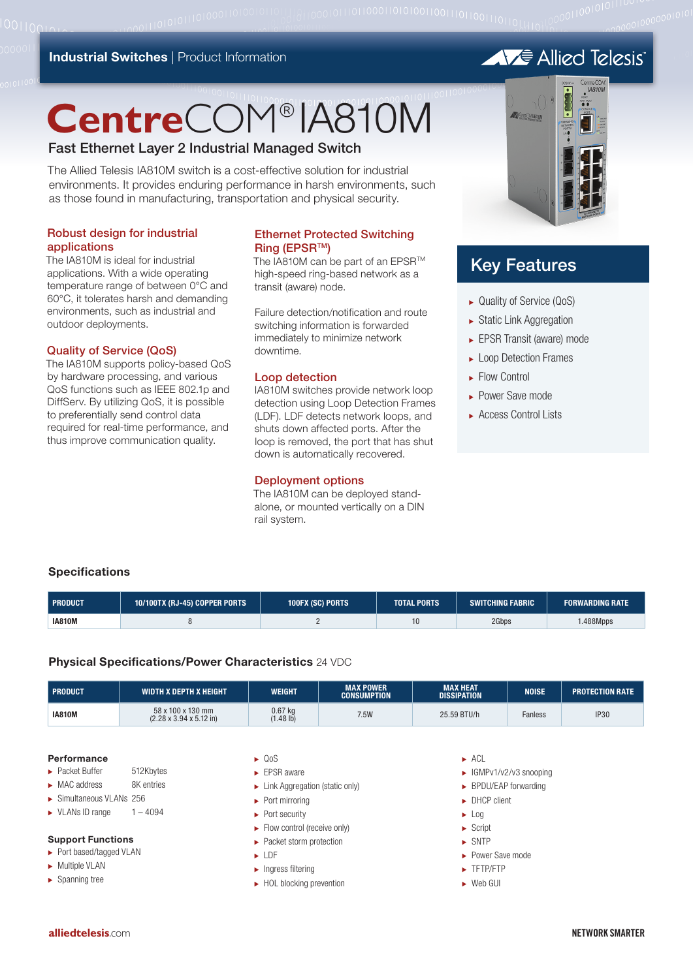#### **Industrial Switches | Product Information**

# **Centre**COM® IA810M

#### Fast Ethernet Layer 2 Industrial Managed Switch

The Allied Telesis IA810M switch is a cost-effective solution for industrial environments. It provides enduring performance in harsh environments, such as those found in manufacturing, transportation and physical security.

#### Robust design for industrial applications

001100

The IA810M is ideal for industrial applications. With a wide operating temperature range of between 0°C and 60°C, it tolerates harsh and demanding environments, such as industrial and outdoor deployments.

#### Quality of Service (QoS)

The IA810M supports policy-based QoS by hardware processing, and various QoS functions such as IEEE 802.1p and DiffServ. By utilizing QoS, it is possible to preferentially send control data required for real-time performance, and thus improve communication quality.

#### Ethernet Protected Switching **Ring (EPSR™)**

The IA810M can be part of an EPSR<sup>™</sup> high-speed ring-based network as a transit (aware) node.

Failure detection/notification and route switching information is forwarded immediately to minimize network downtime.

#### Loop detection

IA810M switches provide network loop detection using Loop Detection Frames (LDF). LDF detects network loops, and shuts down affected ports. After the loop is removed, the port that has shut down is automatically recovered.

#### Deployment options

The IA810M can be deployed standalone, or mounted vertically on a DIN rail system.



## Key Features

- <sup>ۼ</sup> Quality of Service (QoS)
- $\blacktriangleright$  Static Link Aggregation
- <sup>ۼ</sup> EPSR Transit (aware) mode
- ► Loop Detection Frames
- **Elow Control**
- <sup>ۼ</sup> Power Save mode
- ► Access Control Lists

#### **Specifications**

| <b>PRODUCT</b> | 10/100TX (RJ-45) COPPER PORTS | 100FX (SC) PORTS | TOTAL PORTS ' | <b>SWITCHING FABRIC</b> | <b>FORWARDING RATE</b> |
|----------------|-------------------------------|------------------|---------------|-------------------------|------------------------|
| <b>IA810M</b>  |                               |                  | 10            | 2Gbps                   | 1.488Mpps              |

#### **Physical Specifications/Power Characteristics** 24 VDC

| I PRODUCT     | WIDTH X DEPTH X HEIGHT                                           | WEIGHT                 | <b>MAX POWER</b><br><b>CONSUMPTION</b> | <b>MAX HEAT</b><br><b>DISSIPATION</b> | <b>NOISE</b>   | <b>PROTECTION RATE</b> |
|---------------|------------------------------------------------------------------|------------------------|----------------------------------------|---------------------------------------|----------------|------------------------|
| <b>IA810M</b> | 58 x 100 x 130 mm<br>$(2.28 \times 3.94 \times 5.12 \text{ in})$ | $0.67$ kg<br>(1.48 lb) | 7.5W                                   | 25.59 BTU/h                           | <b>Fanless</b> | <b>IP30</b>            |

#### **Performance**

- ۼ Packet Buffer 512Kbytes
- ► MAC address 8K entries
- ۼ Simultaneous VLANs 256
- $\blacktriangleright$  VLANs ID range  $1 4094$

#### **Support Functions**

- ► Port based/tagged VLAN
- **EXECUTE:** Multiple VLAN
- ▶ Spanning tree

#### $\bullet$  0 nS

- $\blacktriangleright$  EPSR aware
- ۼ Link Aggregation (static only)
- ▶ Port mirroring
- ► Port security
- $\blacktriangleright$  Flow control (receive only)
- ▶ Packet storm protection
- $\blacktriangleright$  LDF
- $\blacktriangleright$  Ingress filtering
- ► HOL blocking prevention
- $\blacktriangleright$  ACL
- $\blacktriangleright$  IGMPv1/v2/v3 snooping
- ۼ BPDU/EAP forwarding
- **DHCP** client
- $\blacktriangleright$  Log
- $\blacktriangleright$  Script
- $\triangleright$  SNTP
- ► Power Save mode
- ۼ TFTP/FTP
- ► Web GUI

# **AVE** Allied Telesis